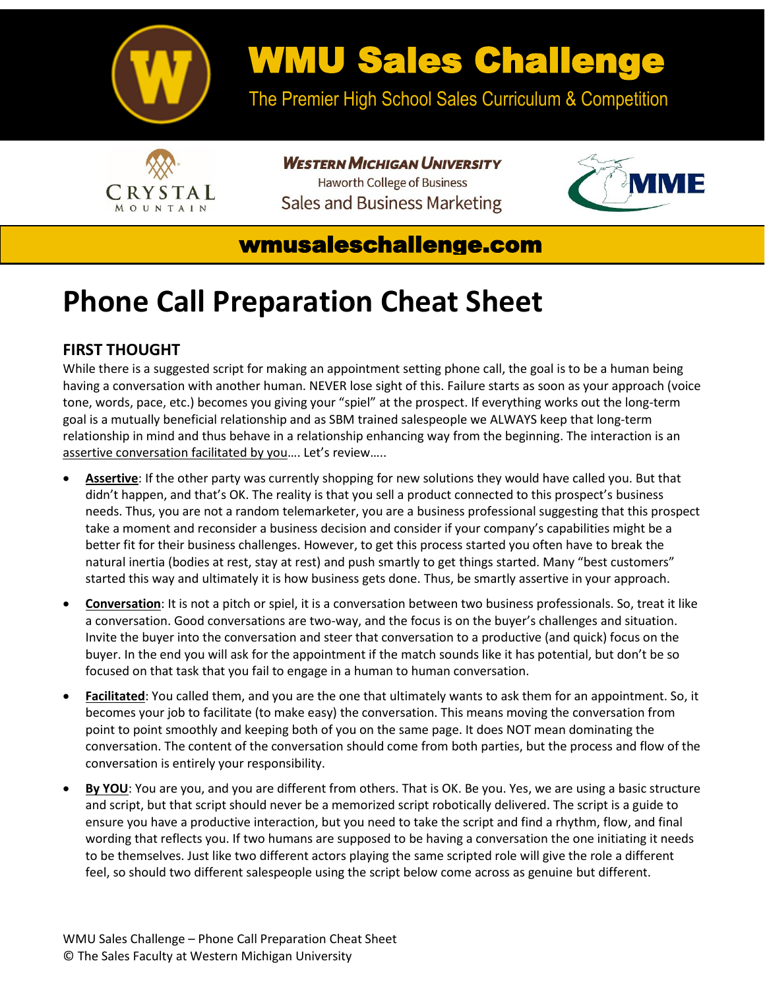

# WMU Sales Challenge

The Premier High School Sales Curriculum & Competition



**WESTERN MICHIGAN UNIVERSITY Haworth College of Business Sales and Business Marketing** 



## wmusaleschallenge.com

# **Phone Call Preparation Cheat Sheet**

### **FIRST THOUGHT**

While there is a suggested script for making an appointment setting phone call, the goal is to be a human being having a conversation with another human. NEVER lose sight of this. Failure starts as soon as your approach (voice tone, words, pace, etc.) becomes you giving your "spiel" at the prospect. If everything works out the long-term goal is a mutually beneficial relationship and as SBM trained salespeople we ALWAYS keep that long-term relationship in mind and thus behave in a relationship enhancing way from the beginning. The interaction is an assertive conversation facilitated by you…. Let's review…..

- **Assertive**: If the other party was currently shopping for new solutions they would have called you. But that didn't happen, and that's OK. The reality is that you sell a product connected to this prospect's business needs. Thus, you are not a random telemarketer, you are a business professional suggesting that this prospect take a moment and reconsider a business decision and consider if your company's capabilities might be a better fit for their business challenges. However, to get this process started you often have to break the natural inertia (bodies at rest, stay at rest) and push smartly to get things started. Many "best customers" started this way and ultimately it is how business gets done. Thus, be smartly assertive in your approach.
- **Conversation**: It is not a pitch or spiel, it is a conversation between two business professionals. So, treat it like a conversation. Good conversations are two-way, and the focus is on the buyer's challenges and situation. Invite the buyer into the conversation and steer that conversation to a productive (and quick) focus on the buyer. In the end you will ask for the appointment if the match sounds like it has potential, but don't be so focused on that task that you fail to engage in a human to human conversation.
- **Facilitated**: You called them, and you are the one that ultimately wants to ask them for an appointment. So, it becomes your job to facilitate (to make easy) the conversation. This means moving the conversation from point to point smoothly and keeping both of you on the same page. It does NOT mean dominating the conversation. The content of the conversation should come from both parties, but the process and flow of the conversation is entirely your responsibility.
- **By YOU**: You are you, and you are different from others. That is OK. Be you. Yes, we are using a basic structure and script, but that script should never be a memorized script robotically delivered. The script is a guide to ensure you have a productive interaction, but you need to take the script and find a rhythm, flow, and final wording that reflects you. If two humans are supposed to be having a conversation the one initiating it needs to be themselves. Just like two different actors playing the same scripted role will give the role a different feel, so should two different salespeople using the script below come across as genuine but different.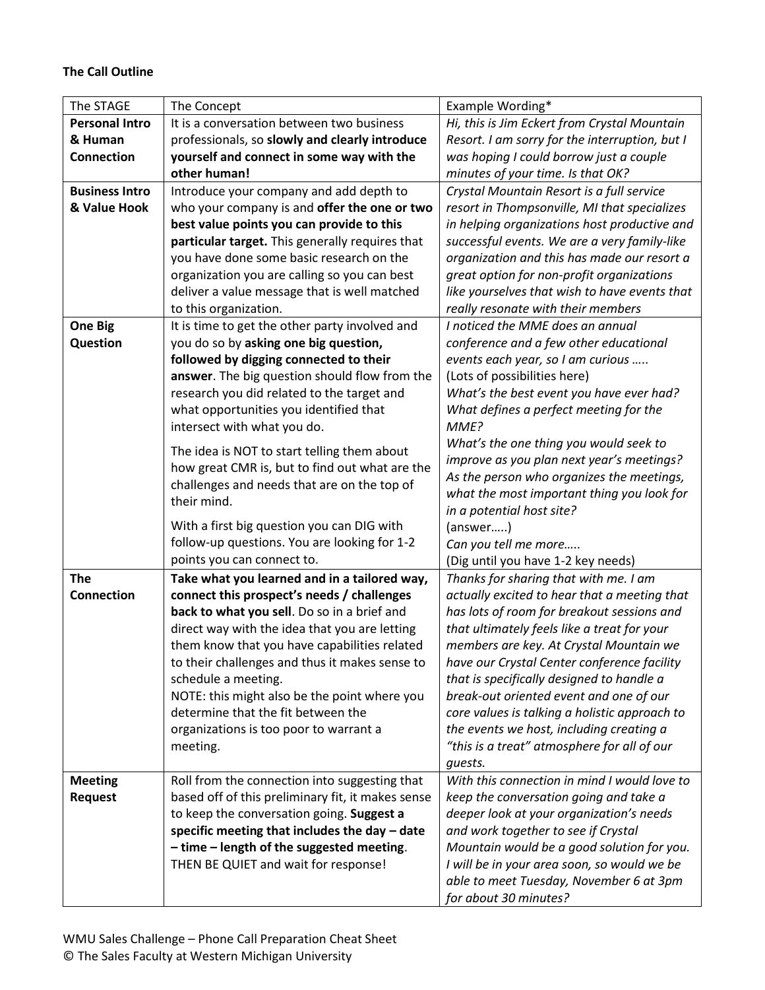#### **The Call Outline**

| The STAGE                        | The Concept                                                                                        | Example Wording*                                        |
|----------------------------------|----------------------------------------------------------------------------------------------------|---------------------------------------------------------|
| <b>Personal Intro</b>            | It is a conversation between two business                                                          | Hi, this is Jim Eckert from Crystal Mountain            |
| & Human                          | professionals, so slowly and clearly introduce                                                     | Resort. I am sorry for the interruption, but I          |
| Connection                       | yourself and connect in some way with the                                                          | was hoping I could borrow just a couple                 |
|                                  | other human!                                                                                       | minutes of your time. Is that OK?                       |
| <b>Business Intro</b>            | Introduce your company and add depth to                                                            | Crystal Mountain Resort is a full service               |
| & Value Hook                     | who your company is and offer the one or two                                                       | resort in Thompsonville, MI that specializes            |
|                                  | best value points you can provide to this                                                          | in helping organizations host productive and            |
|                                  | particular target. This generally requires that                                                    | successful events. We are a very family-like            |
|                                  | you have done some basic research on the                                                           | organization and this has made our resort a             |
|                                  | organization you are calling so you can best                                                       | great option for non-profit organizations               |
|                                  | deliver a value message that is well matched                                                       | like yourselves that wish to have events that           |
|                                  | to this organization.                                                                              | really resonate with their members                      |
| <b>One Big</b>                   | It is time to get the other party involved and                                                     | I noticed the MME does an annual                        |
| Question                         | you do so by asking one big question,                                                              | conference and a few other educational                  |
|                                  | followed by digging connected to their                                                             | events each year, so I am curious                       |
|                                  | answer. The big question should flow from the                                                      | (Lots of possibilities here)                            |
|                                  | research you did related to the target and                                                         | What's the best event you have ever had?                |
|                                  | what opportunities you identified that                                                             | What defines a perfect meeting for the                  |
|                                  | intersect with what you do.                                                                        | MME?                                                    |
|                                  | The idea is NOT to start telling them about                                                        | What's the one thing you would seek to                  |
|                                  | how great CMR is, but to find out what are the                                                     | improve as you plan next year's meetings?               |
|                                  | challenges and needs that are on the top of                                                        | As the person who organizes the meetings,               |
|                                  | their mind.                                                                                        | what the most important thing you look for              |
|                                  |                                                                                                    | in a potential host site?                               |
|                                  | With a first big question you can DIG with                                                         | (answer)                                                |
|                                  | follow-up questions. You are looking for 1-2                                                       | Can you tell me more                                    |
|                                  | points you can connect to.                                                                         | (Dig until you have 1-2 key needs)                      |
| <b>The</b>                       | Take what you learned and in a tailored way,                                                       | Thanks for sharing that with me. I am                   |
| <b>Connection</b>                | connect this prospect's needs / challenges                                                         | actually excited to hear that a meeting that            |
|                                  | back to what you sell. Do so in a brief and                                                        | has lots of room for breakout sessions and              |
|                                  | direct way with the idea that you are letting                                                      | that ultimately feels like a treat for your             |
|                                  | them know that you have capabilities related                                                       | members are key. At Crystal Mountain we                 |
|                                  | to their challenges and thus it makes sense to                                                     | have our Crystal Center conference facility             |
|                                  | schedule a meeting.                                                                                | that is specifically designed to handle a               |
|                                  | NOTE: this might also be the point where you                                                       | break-out oriented event and one of our                 |
|                                  | determine that the fit between the                                                                 | core values is talking a holistic approach to           |
|                                  | organizations is too poor to warrant a                                                             | the events we host, including creating a                |
|                                  | meeting.                                                                                           | "this is a treat" atmosphere for all of our             |
|                                  |                                                                                                    | guests.<br>With this connection in mind I would love to |
| <b>Meeting</b><br><b>Request</b> | Roll from the connection into suggesting that<br>based off of this preliminary fit, it makes sense | keep the conversation going and take a                  |
|                                  | to keep the conversation going. Suggest a                                                          | deeper look at your organization's needs                |
|                                  | specific meeting that includes the day - date                                                      | and work together to see if Crystal                     |
|                                  | - time - length of the suggested meeting.                                                          | Mountain would be a good solution for you.              |
|                                  | THEN BE QUIET and wait for response!                                                               | I will be in your area soon, so would we be             |
|                                  |                                                                                                    | able to meet Tuesday, November 6 at 3pm                 |
|                                  |                                                                                                    |                                                         |
|                                  |                                                                                                    | for about 30 minutes?                                   |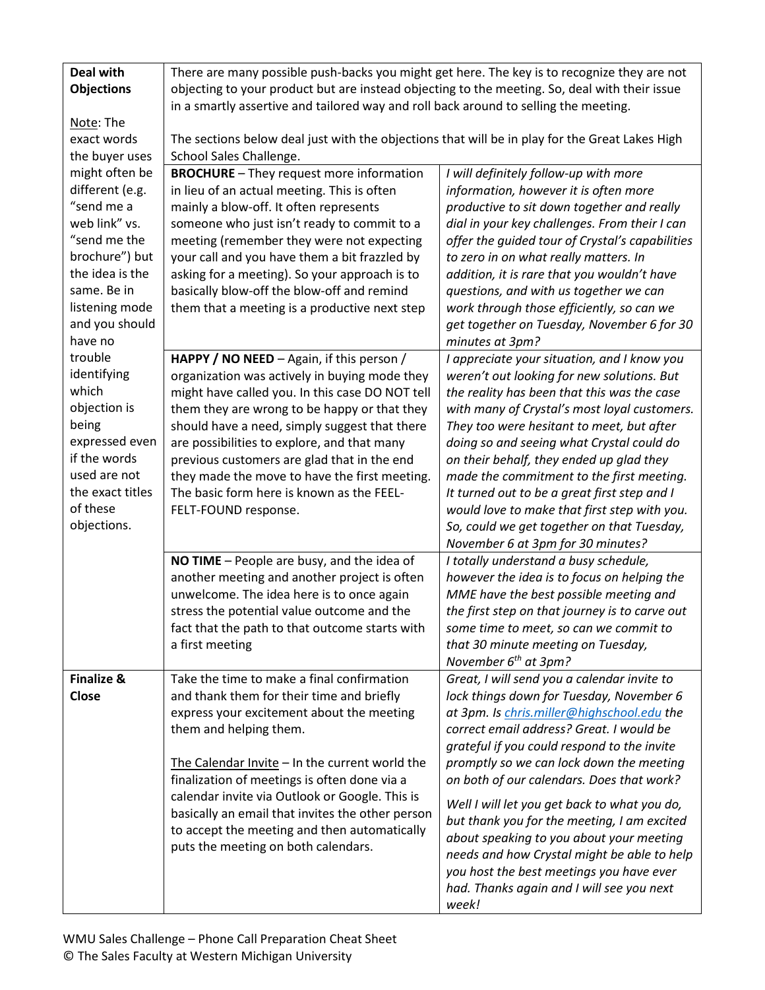| <b>Deal with</b><br><b>Objections</b><br>Note: The<br>exact words<br>the buyer uses                                                                                                                                                                                                                                                              | There are many possible push-backs you might get here. The key is to recognize they are not<br>objecting to your product but are instead objecting to the meeting. So, deal with their issue<br>in a smartly assertive and tailored way and roll back around to selling the meeting.<br>The sections below deal just with the objections that will be in play for the Great Lakes High<br>School Sales Challenge.                                                  |                                                                                                                                                                                                                                                                                                                                                                                                                                                                                                                                                                                                                       |  |
|--------------------------------------------------------------------------------------------------------------------------------------------------------------------------------------------------------------------------------------------------------------------------------------------------------------------------------------------------|--------------------------------------------------------------------------------------------------------------------------------------------------------------------------------------------------------------------------------------------------------------------------------------------------------------------------------------------------------------------------------------------------------------------------------------------------------------------|-----------------------------------------------------------------------------------------------------------------------------------------------------------------------------------------------------------------------------------------------------------------------------------------------------------------------------------------------------------------------------------------------------------------------------------------------------------------------------------------------------------------------------------------------------------------------------------------------------------------------|--|
| might often be<br>different (e.g.<br>"send me a<br>web link" vs.<br>"send me the<br>brochure") but<br>the idea is the<br>same. Be in<br>listening mode<br>and you should<br>have no<br>trouble<br>identifying<br>which<br>objection is<br>being<br>expressed even<br>if the words<br>used are not<br>the exact titles<br>of these<br>objections. | <b>BROCHURE</b> - They request more information<br>in lieu of an actual meeting. This is often<br>mainly a blow-off. It often represents<br>someone who just isn't ready to commit to a<br>meeting (remember they were not expecting<br>your call and you have them a bit frazzled by<br>asking for a meeting). So your approach is to<br>basically blow-off the blow-off and remind<br>them that a meeting is a productive next step                              | I will definitely follow-up with more<br>information, however it is often more<br>productive to sit down together and really<br>dial in your key challenges. From their I can<br>offer the guided tour of Crystal's capabilities<br>to zero in on what really matters. In<br>addition, it is rare that you wouldn't have<br>questions, and with us together we can<br>work through those efficiently, so can we<br>get together on Tuesday, November 6 for 30<br>minutes at 3pm?                                                                                                                                      |  |
|                                                                                                                                                                                                                                                                                                                                                  | HAPPY / NO NEED - Again, if this person /<br>organization was actively in buying mode they<br>might have called you. In this case DO NOT tell<br>them they are wrong to be happy or that they<br>should have a need, simply suggest that there<br>are possibilities to explore, and that many<br>previous customers are glad that in the end<br>they made the move to have the first meeting.<br>The basic form here is known as the FEEL-<br>FELT-FOUND response. | I appreciate your situation, and I know you<br>weren't out looking for new solutions. But<br>the reality has been that this was the case<br>with many of Crystal's most loyal customers.<br>They too were hesitant to meet, but after<br>doing so and seeing what Crystal could do<br>on their behalf, they ended up glad they<br>made the commitment to the first meeting.<br>It turned out to be a great first step and I<br>would love to make that first step with you.<br>So, could we get together on that Tuesday,<br>November 6 at 3pm for 30 minutes?                                                        |  |
|                                                                                                                                                                                                                                                                                                                                                  | NO TIME - People are busy, and the idea of<br>another meeting and another project is often<br>unwelcome. The idea here is to once again<br>stress the potential value outcome and the<br>fact that the path to that outcome starts with<br>a first meeting                                                                                                                                                                                                         | I totally understand a busy schedule,<br>however the idea is to focus on helping the<br>MME have the best possible meeting and<br>the first step on that journey is to carve out<br>some time to meet, so can we commit to<br>that 30 minute meeting on Tuesday,<br>November $6th$ at 3pm?                                                                                                                                                                                                                                                                                                                            |  |
| <b>Finalize &amp;</b><br><b>Close</b>                                                                                                                                                                                                                                                                                                            | Take the time to make a final confirmation<br>and thank them for their time and briefly<br>express your excitement about the meeting<br>them and helping them.<br>The Calendar Invite - In the current world the<br>finalization of meetings is often done via a<br>calendar invite via Outlook or Google. This is<br>basically an email that invites the other person<br>to accept the meeting and then automatically<br>puts the meeting on both calendars.      | Great, I will send you a calendar invite to<br>lock things down for Tuesday, November 6<br>at 3pm. Is chris.miller@highschool.edu the<br>correct email address? Great. I would be<br>grateful if you could respond to the invite<br>promptly so we can lock down the meeting<br>on both of our calendars. Does that work?<br>Well I will let you get back to what you do,<br>but thank you for the meeting, I am excited<br>about speaking to you about your meeting<br>needs and how Crystal might be able to help<br>you host the best meetings you have ever<br>had. Thanks again and I will see you next<br>week! |  |